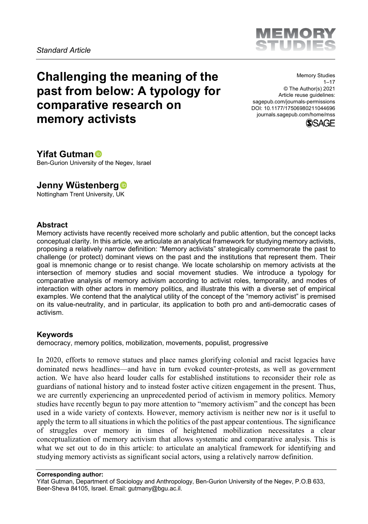

# <span id="page-0-0"></span>**Challenging the meaning of the past from below: A typology for comparative research on memory activists**

Memory Studies  $1 - 17$ © The Author(s) 2021 Article reuse guidelines: sagepub.com/journals-permissions DOI: 10.1177/17506980211044696 journals.sagepub.com/home/mss



### **Yifat Gutman**

Ben-Gurion University of the Negev, Israel

# **Jenny Wüstenberg**

Nottingham Trent University, UK

#### **Abstract**

Memory activists have recently received more scholarly and public attention, but the concept lacks conceptual clarity. In this article, we articulate an analytical framework for studying memory activists, proposing a relatively narrow definition: "Memory activists" strategically commemorate the past to challenge (or protect) dominant views on the past and the institutions that represent them. Their goal is mnemonic change or to resist change. We locate scholarship on memory activists at the intersection of memory studies and social movement studies. We introduce a typology for comparative analysis of memory activism according to activist roles, temporality, and modes of interaction with other actors in memory politics, and illustrate this with a diverse set of empirical examples. We contend that the analytical utility of the concept of the "memory activist" is premised on its value-neutrality, and in particular, its application to both pro and anti-democratic cases of activism.

#### **Keywords**

democracy, memory politics, mobilization, movements, populist, progressive

In 2020, efforts to remove statues and place names glorifying colonial and racist legacies have dominated news headlines—and have in turn evoked counter-protests, as well as government action. We have also heard louder calls for established institutions to reconsider their role as guardians of national history and to instead foster active citizen engagement in the present. Thus, we are currently experiencing an unprecedented period of activism in memory politics. Memory studies have recently begun to pay more attention to "memory activism" and the concept has been used in a wide variety of contexts. However, memory activism is neither new nor is it useful to apply the term to all situations in which the politics of the past appear contentious. The significance of struggles over memory in times of heightened mobilization necessitates a clear conceptualization of memory activism that allows systematic and comparative analysis. This is what we set out to do in this article: to articulate an analytical framework for identifying and studying memory activists as significant social actors, using a relatively narrow definition.

Yifat Gutman, Department of Sociology and Anthropology, Ben-Gurion University of the Negev, P.O.B 633, Beer-Sheva 84105, Israel. Email: gutmany@bgu.ac.il.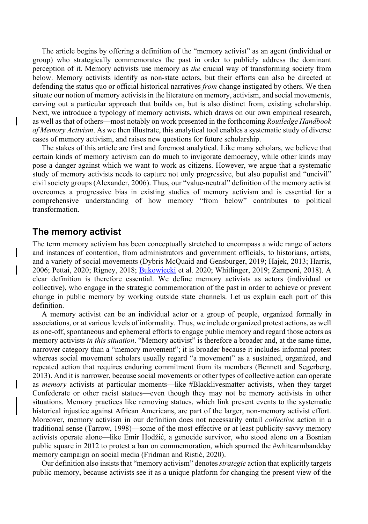The article begins by offering a definition of the "memory activist" as an agent (individual or group) who strategically commemorates the past in order to publicly address the dominant perception of it. Memory activists use memory as *the* crucial way of transforming society from below. Memory activists identify as non-state actors, but their efforts can also be directed at defending the status quo or official historical narratives *from* change instigated by others. We then situate our notion of memory activists in the literature on memory, activism, and social movements, carving out a particular approach that builds on, but is also distinct from, existing scholarship. Next, we introduce a typology of memory activists, which draws on our own empirical research, as well as that of others—most notably on work presented in the forthcoming *Routledge Handbook of Memory Activism*. As we then illustrate, this analytical tool enables a systematic study of diverse cases of memory activism, and raises new questions for future scholarship.

The stakes of this article are first and foremost analytical. Like many scholars, we believe that certain kinds of memory activism can do much to invigorate democracy, while other kinds may pose a danger against which we want to work as citizens. However, we argue that a systematic study of memory activists needs to capture not only progressive, but also populist and "uncivil" civil society groups (Alexander, 2006). Thus, our "value-neutral" definition of the memory activist overcomes a progressive bias in existing studies of memory activism and is essential for a comprehensive understanding of how memory "from below" contributes to political transformation.

### **The memory activist**

The term memory activism has been conceptually stretched to encompass a wide range of actors and instances of contention, from administrators and government officials, to historians, artists, and a variety of social movements (Dybris McQuaid and Gensburger, 2019; Hajek, 2013; Harris, 2006; Pettai, 2020; Rigney, 2018; [Bukowiecki](file://discovery/search?query=creator%2Cexact%2CBukowiecki%2C%20%C5%81ukasz%20%2CAND&tab=Everything&search_scope=MyInst_and_CI&vid=972BGU_INST%3A972BGU&facet=creator%2Cexact%2CBukowiecki%2C%20%C5%81ukasz%20&lang=he&mode=advanced&offset=0) et al. 2020; Whitlinger, 2019; Zamponi, 2018). A clear definition is therefore essential. We define memory activists as actors (individual or collective), who engage in the strategic commemoration of the past in order to achieve or prevent change in public memory by working outside state channels. Let us explain each part of this definition.

A memory activist can be an individual actor or a group of people, organized formally in associations, or at various levels of informality. Thus, we include organized protest actions, as well as one-off, spontaneous and ephemeral efforts to engage public memory and regard those actors as memory activists *in this situation*. "Memory activist" is therefore a broader and, at the same time, narrower category than a "memory movement"; it is broader because it includes informal protest whereas social movement scholars usually regard "a movement" as a sustained, organized, and repeated action that requires enduring commitment from its members (Bennett and Segerberg, 2013). And it is narrower, because social movements or other types of collective action can operate as *memory* activists at particular moments—like #Blacklivesmatter activists, when they target Confederate or other racist statues—even though they may not be memory activists in other situations. Memory practices like removing statues, which link present events to the systematic historical injustice against African Americans, are part of the larger, non-memory activist effort. Moreover, memory activism in our definition does not necessarily entail *collective* action in a traditional sense (Tarrow, 1998)—some of the most effective or at least publicity-savvy memory activists operate alone—like Emir Hodžić, a genocide survivor, who stood alone on a Bosnian public square in 2012 to protest a ban on commemoration, which spurned the #whitearmbandday memory campaign on social media (Fridman and Ristić, 2020).

Our definition also insists that "memory activism" denotes *strategic* action that explicitly targets public memory, because activists see it as a unique platform for changing the present view of the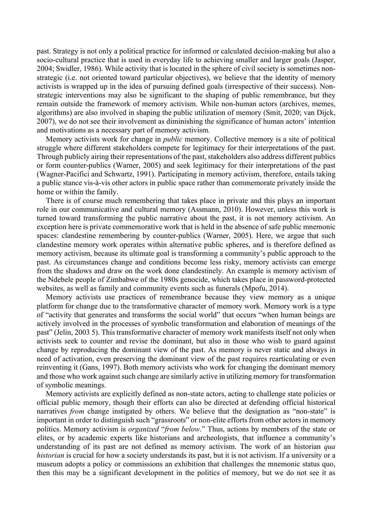past. Strategy is not only a political practice for informed or calculated decision-making but also a socio-cultural practice that is used in everyday life to achieving smaller and larger goals (Jasper, 2004; Swidler, 1986). While activity that is located in the sphere of civil society is sometimes nonstrategic (i.e. not oriented toward particular objectives), we believe that the identity of memory activists is wrapped up in the idea of pursuing defined goals (irrespective of their success). Nonstrategic interventions may also be significant to the shaping of public remembrance, but they remain outside the framework of memory activism. While non-human actors (archives, memes, algorithms) are also involved in shaping the public utilization of memory (Smit, 2020; van Dijck, 2007), we do not see their involvement as diminishing the significance of human actors' intention and motivations as a necessary part of memory activism.

Memory activists work for change in *public* memory. Collective memory is a site of political struggle where different stakeholders compete for legitimacy for their interpretations of the past. Through publicly airing their representations of the past, stakeholders also address different publics or form counter-publics (Warner, 2005) and seek legitimacy for their interpretations of the past (Wagner-Pacifici and Schwartz, 1991). Participating in memory activism, therefore, entails taking a public stance vis-à-vis other actors in public space rather than commemorate privately inside the home or within the family.

There is of course much remembering that takes place in private and this plays an important role in our communicative and cultural memory (Assmann, 2010). However, unless this work is turned toward transforming the public narrative about the past, it is not memory activism. An exception here is private commemorative work that is held in the absence of safe public mnemonic spaces: clandestine remembering by counter-publics (Warner, 2005). Here, we argue that such clandestine memory work operates within alternative public spheres, and is therefore defined as memory activism, because its ultimate goal is transforming a community's public approach to the past. As circumstances change and conditions become less risky, memory activists can emerge from the shadows and draw on the work done clandestinely. An example is memory activism of the Ndebele people of Zimbabwe of the 1980s genocide, which takes place in password-protected websites, as well as family and community events such as funerals (Mpofu, 2014).

Memory activists use practices of remembrance because they view memory as a unique platform for change due to the transformative character of memory work. Memory work is a type of "activity that generates and transforms the social world" that occurs "when human beings are actively involved in the processes of symbolic transformation and elaboration of meanings of the past" (Jelin, 2003 5). This transformative character of memory work manifests itself not only when activists seek to counter and revise the dominant, but also in those who wish to guard against change by reproducing the dominant view of the past. As memory is never static and always in need of activation, even preserving the dominant view of the past requires rearticulating or even reinventing it (Gans, 1997). Both memory activists who work for changing the dominant memory and those who work against such change are similarly active in utilizing memory for transformation of symbolic meanings.

Memory activists are explicitly defined as non-state actors, acting to challenge state policies or official public memory, though their efforts can also be directed at defending official historical narratives *from* change instigated by others. We believe that the designation as "non-state" is important in order to distinguish such "grassroots" or non-elite efforts from other actors in memory politics. Memory activism is *organized* "*from below*." Thus, actions by members of the state or elites, or by academic experts like historians and archeologists, that influence a community's understanding of its past are not defined as memory activism. The work of an historian *qua historian* is crucial for how a society understands its past, but it is not activism. If a university or a museum adopts a policy or commissions an exhibition that challenges the mnemonic status quo, then this may be a significant development in the politics of memory, but we do not see it as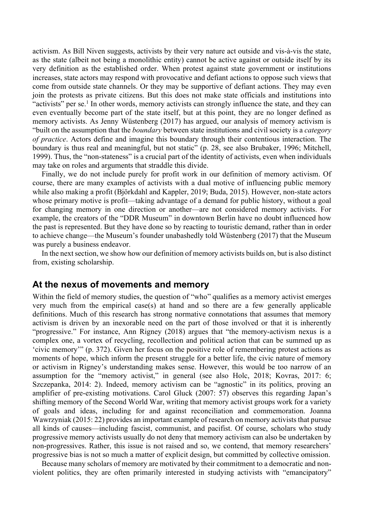activism. As Bill Niven suggests, activists by their very nature act outside and vis-à-vis the state, as the state (albeit not being a monolithic entity) cannot be active against or outside itself by its very definition as the established order. When protest against state government or institutions increases, state actors may respond with provocative and defiant actions to oppose such views that come from outside state channels. Or they may be supportive of defiant actions. They may even join the protests as private citizens. But this does not make state officials and institutions into "activists" per se.<sup>1</sup> In other words, memory activists can strongly influence the state, and they can even eventually become part of the state itself, but at this point, they are no longer defined as memory activists. As Jenny Wüstenberg (2017) has argued, our analysis of memory activism is "built on the assumption that the *boundary* between state institutions and civil society is a *category of practice*. Actors define and imagine this boundary through their contentious interaction. The boundary is thus real and meaningful, but not static" (p. 28, see also Brubaker, 1996; Mitchell, 1999). Thus, the "non-stateness" is a crucial part of the identity of activists, even when individuals may take on roles and arguments that straddle this divide.

Finally, we do not include purely for profit work in our definition of memory activism. Of course, there are many examples of activists with a dual motive of influencing public memory while also making a profit (Björkdahl and Kappler, 2019; Buda, 2015). However, non-state actors whose primary motive is profit—taking advantage of a demand for public history, without a goal for changing memory in one direction or another—are not considered memory activists. For example, the creators of the "DDR Museum" in downtown Berlin have no doubt influenced how the past is represented. But they have done so by reacting to touristic demand, rather than in order to achieve change—the Museum's founder unabashedly told Wüstenberg (2017) that the Museum was purely a business endeavor.

In the next section, we show how our definition of memory activists builds on, but is also distinct from, existing scholarship.

### **At the nexus of movements and memory**

Within the field of memory studies, the question of "who" qualifies as a memory activist emerges very much from the empirical case(s) at hand and so there are a few generally applicable definitions. Much of this research has strong normative connotations that assumes that memory activism is driven by an inexorable need on the part of those involved or that it is inherently "progressive." For instance, Ann Rigney (2018) argues that "the memory-activism nexus is a complex one, a vortex of recycling, recollection and political action that can be summed up as 'civic memory'" (p. 372). Given her focus on the positive role of remembering protest actions as moments of hope, which inform the present struggle for a better life, the civic nature of memory or activism in Rigney's understanding makes sense. However, this would be too narrow of an assumption for the "memory activist," in general (see also Holc, 2018; Kovras, 2017: 6; Szczepanka, 2014: 2). Indeed, memory activism can be "agnostic" in its politics, proving an amplifier of pre-existing motivations. Carol Gluck (2007: 57) observes this regarding Japan's shifting memory of the Second World War, writing that memory activist groups work for a variety of goals and ideas, including for and against reconciliation and commemoration. Joanna Wawrzyniak (2015: 22) provides an important example of research on memory activists that pursue all kinds of causes—including fascist, communist, and pacifist. Of course, scholars who study progressive memory activists usually do not deny that memory activism can also be undertaken by non-progressives. Rather, this issue is not raised and so, we contend, that memory researchers' progressive bias is not so much a matter of explicit design, but committed by collective omission.

Because many scholars of memory are motivated by their commitment to a democratic and nonviolent politics, they are often primarily interested in studying activists with "emancipatory"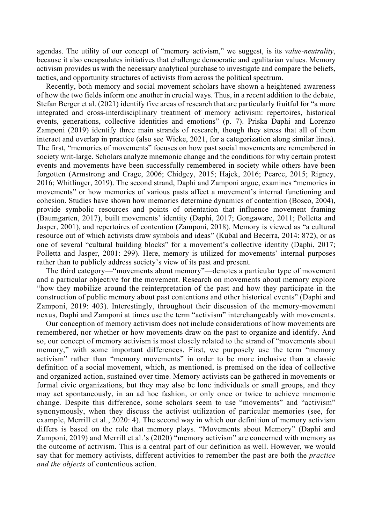agendas. The utility of our concept of "memory activism," we suggest, is its *value-neutrality*, because it also encapsulates initiatives that challenge democratic and egalitarian values. Memory activism provides us with the necessary analytical purchase to investigate and compare the beliefs, tactics, and opportunity structures of activists from across the political spectrum.

Recently, both memory and social movement scholars have shown a heightened awareness of how the two fields inform one another in crucial ways. Thus, in a recent addition to the debate, Stefan Berger et al. (2021) identify five areas of research that are particularly fruitful for "a more integrated and cross-interdisciplinary treatment of memory activism: repertoires, historical events, generations, collective identities and emotions" (p. 7). Priska Daphi and Lorenzo Zamponi (2019) identify three main strands of research, though they stress that all of them interact and overlap in practice (also see Wicke, 2021, for a categorization along similar lines). The first, "memories of movements" focuses on how past social movements are remembered in society writ-large. Scholars analyze mnemonic change and the conditions for why certain protest events and movements have been successfully remembered in society while others have been forgotten (Armstrong and Crage, 2006; Chidgey, 2015; Hajek, 2016; Pearce, 2015; Rigney, 2016; Whitlinger, 2019). The second strand, Daphi and Zamponi argue, examines "memories in movements" or how memories of various pasts affect a movement's internal functioning and cohesion. Studies have shown how memories determine dynamics of contention (Bosco, 2004), provide symbolic resources and points of orientation that influence movement framing (Baumgarten, 2017), built movements' identity (Daphi, 2017; Gongaware, 2011; Polletta and Jasper, 2001), and repertoires of contention (Zamponi, 2018). Memory is viewed as "a cultural resource out of which activists draw symbols and ideas" (Kubal and Becerra, 2014: 872), or as one of several "cultural building blocks" for a movement's collective identity (Daphi, 2017; Polletta and Jasper, 2001: 299). Here, memory is utilized for movements' internal purposes rather than to publicly address society's view of its past and present.

The third category—"movements about memory"—denotes a particular type of movement and a particular objective for the movement. Research on movements about memory explore "how they mobilize around the reinterpretation of the past and how they participate in the construction of public memory about past contentions and other historical events" (Daphi and Zamponi, 2019: 403). Interestingly, throughout their discussion of the memory-movement nexus, Daphi and Zamponi at times use the term "activism" interchangeably with movements.

Our conception of memory activism does not include considerations of how movements are remembered, nor whether or how movements draw on the past to organize and identify. And so, our concept of memory activism is most closely related to the strand of "movements about memory," with some important differences. First, we purposely use the term "memory activism" rather than "memory movements" in order to be more inclusive than a classic definition of a social movement, which, as mentioned, is premised on the idea of collective and organized action, sustained over time. Memory activists can be gathered in movements or formal civic organizations, but they may also be lone individuals or small groups, and they may act spontaneously, in an ad hoc fashion, or only once or twice to achieve mnemonic change. Despite this difference, some scholars seem to use "movements" and "activism" synonymously, when they discuss the activist utilization of particular memories (see, for example, Merrill et al., 2020: 4). The second way in which our definition of memory activism differs is based on the role that memory plays. "Movements about Memory" (Daphi and Zamponi, 2019) and Merrill et al.'s (2020) "memory activism" are concerned with memory as the outcome of activism. This is a central part of our definition as well. However, we would say that for memory activists, different activities to remember the past are both the *practice and the objects* of contentious action.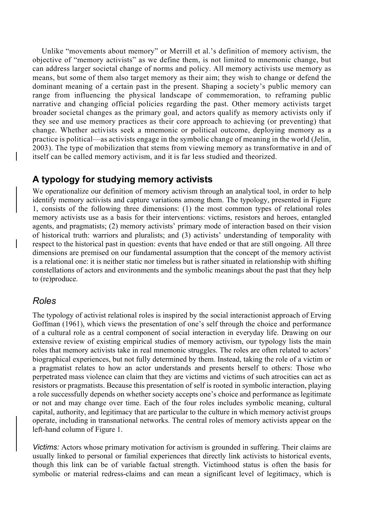Unlike "movements about memory" or Merrill et al.'s definition of memory activism, the objective of "memory activists" as we define them, is not limited to mnemonic change, but can address larger societal change of norms and policy. All memory activists use memory as means, but some of them also target memory as their aim; they wish to change or defend the dominant meaning of a certain past in the present. Shaping a society's public memory can range from influencing the physical landscape of commemoration, to reframing public narrative and changing official policies regarding the past. Other memory activists target broader societal changes as the primary goal, and actors qualify as memory activists only if they see and use memory practices as their core approach to achieving (or preventing) that change. Whether activists seek a mnemonic or political outcome, deploying memory as a practice is political—as activists engage in the symbolic change of meaning in the world (Jelin, 2003). The type of mobilization that stems from viewing memory as transformative in and of itself can be called memory activism, and it is far less studied and theorized.

# **A typology for studying memory activists**

We operationalize our definition of memory activism through an analytical tool, in order to help identify memory activists and capture variations among them. The typology, presented in Figure 1, consists of the following three dimensions: (1) the most common types of relational roles memory activists use as a basis for their interventions: victims, resistors and heroes, entangled agents, and pragmatists; (2) memory activists' primary mode of interaction based on their vision of historical truth: warriors and pluralists; and (3) activists' understanding of temporality with respect to the historical past in question: events that have ended or that are still ongoing. All three dimensions are premised on our fundamental assumption that the concept of the memory activist is a relational one: it is neither static nor timeless but is rather situated in relationship with shifting constellations of actors and environments and the symbolic meanings about the past that they help to (re)produce.

# *Roles*

The typology of activist relational roles is inspired by the social interactionist approach of Erving Goffman (1961), which views the presentation of one's self through the choice and performance of a cultural role as a central component of social interaction in everyday life. Drawing on our extensive review of existing empirical studies of memory activism, our typology lists the main roles that memory activists take in real mnemonic struggles. The roles are often related to actors' biographical experiences, but not fully determined by them. Instead, taking the role of a victim or a pragmatist relates to how an actor understands and presents herself to others: Those who perpetrated mass violence can claim that they are victims and victims of such atrocities can act as resistors or pragmatists. Because this presentation of self is rooted in symbolic interaction, playing a role successfully depends on whether society accepts one's choice and performance as legitimate or not and may change over time. Each of the four roles includes symbolic meaning, cultural capital, authority, and legitimacy that are particular to the culture in which memory activist groups operate, including in transnational networks. The central roles of memory activists appear on the left-hand column of Figure 1.

*Victims:* Actors whose primary motivation for activism is grounded in suffering. Their claims are usually linked to personal or familial experiences that directly link activists to historical events, though this link can be of variable factual strength. Victimhood status is often the basis for symbolic or material redress-claims and can mean a significant level of legitimacy, which is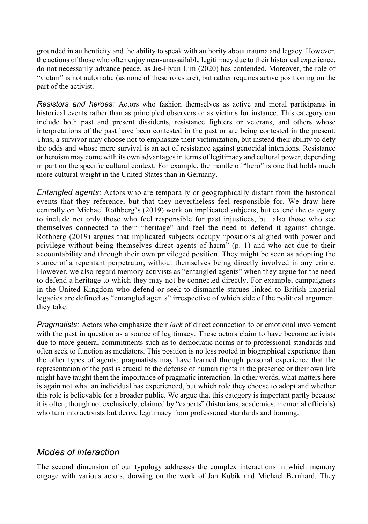grounded in authenticity and the ability to speak with authority about trauma and legacy. However, the actions of those who often enjoy near-unassailable legitimacy due to their historical experience, do not necessarily advance peace, as Jie-Hyun Lim (2020) has contended. Moreover, the role of "victim" is not automatic (as none of these roles are), but rather requires active positioning on the part of the activist.

*Resistors and heroes:* Actors who fashion themselves as active and moral participants in historical events rather than as principled observers or as victims for instance. This category can include both past and present dissidents, resistance fighters or veterans, and others whose interpretations of the past have been contested in the past or are being contested in the present. Thus, a survivor may choose not to emphasize their victimization, but instead their ability to defy the odds and whose mere survival is an act of resistance against genocidal intentions. Resistance or heroism may come with its own advantages in terms of legitimacy and cultural power, depending in part on the specific cultural context. For example, the mantle of "hero" is one that holds much more cultural weight in the United States than in Germany.

*Entangled agents:* Actors who are temporally or geographically distant from the historical events that they reference, but that they nevertheless feel responsible for. We draw here centrally on Michael Rothberg's (2019) work on implicated subjects, but extend the category to include not only those who feel responsible for past injustices, but also those who see themselves connected to their "heritage" and feel the need to defend it against change. Rothberg (2019) argues that implicated subjects occupy "positions aligned with power and privilege without being themselves direct agents of harm" (p. 1) and who act due to their accountability and through their own privileged position. They might be seen as adopting the stance of a repentant perpetrator, without themselves being directly involved in any crime. However, we also regard memory activists as "entangled agents" when they argue for the need to defend a heritage to which they may not be connected directly. For example, campaigners in the United Kingdom who defend or seek to dismantle statues linked to British imperial legacies are defined as "entangled agents" irrespective of which side of the political argument they take.

*Pragmatists:* Actors who emphasize their *lack* of direct connection to or emotional involvement with the past in question as a source of legitimacy. These actors claim to have become activists due to more general commitments such as to democratic norms or to professional standards and often seek to function as mediators. This position is no less rooted in biographical experience than the other types of agents: pragmatists may have learned through personal experience that the representation of the past is crucial to the defense of human rights in the presence or their own life might have taught them the importance of pragmatic interaction. In other words, what matters here is again not what an individual has experienced, but which role they choose to adopt and whether this role is believable for a broader public. We argue that this category is important partly because it is often, though not exclusively, claimed by "experts" (historians, academics, memorial officials) who turn into activists but derive legitimacy from professional standards and training.

# *Modes of interaction*

The second dimension of our typology addresses the complex interactions in which memory engage with various actors, drawing on the work of Jan Kubik and Michael Bernhard. They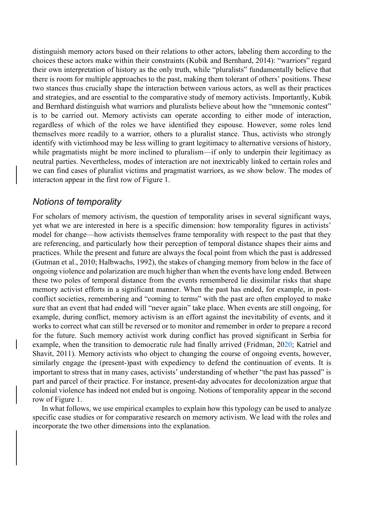distinguish memory actors based on their relations to other actors, labeling them according to the choices these actors make within their constraints (Kubik and Bernhard, 2014): "warriors" regard their own interpretation of history as the only truth, while "pluralists" fundamentally believe that there is room for multiple approaches to the past, making them tolerant of others' positions. These two stances thus crucially shape the interaction between various actors, as well as their practices and strategies, and are essential to the comparative study of memory activists. Importantly, Kubik and Bernhard distinguish what warriors and pluralists believe about how the "mnemonic contest" is to be carried out. Memory activists can operate according to either mode of interaction, regardless of which of the roles we have identified they espouse. However, some roles lend themselves more readily to a warrior, others to a pluralist stance. Thus, activists who strongly identify with victimhood may be less willing to grant legitimacy to alternative versions of history, while pragmatists might be more inclined to pluralism—if only to underpin their legitimacy as neutral parties. Nevertheless, modes of interaction are not inextricably linked to certain roles and we can find cases of pluralist victims and pragmatist warriors, as we show below. The modes of interacton appear in the first row of Figure 1.

### *Notions of temporality*

For scholars of memory activism, the question of temporality arises in several significant ways, yet what we are interested in here is a specific dimension: how temporality figures in activists' model for change—how activists themselves frame temporality with respect to the past that they are referencing, and particularly how their perception of temporal distance shapes their aims and practices. While the present and future are always the focal point from which the past is addressed (Gutman et al., 2010; Halbwachs, 1992), the stakes of changing memory from below in the face of ongoing violence and polarization are much higher than when the events have long ended. Between these two poles of temporal distance from the events remembered lie dissimilar risks that shape memory activist efforts in a significant manner. When the past has ended, for example, in postconflict societies, remembering and "coming to terms" with the past are often employed to make sure that an event that had ended will "never again" take place. When events are still ongoing, for example, during conflict, memory activism is an effort against the inevitability of events, and it works to correct what can still be reversed or to monitor and remember in order to prepare a record for the future. Such memory activist work during conflict has proved significant in Serbia for example, when the transition to democratic rule had finally arrived (Fridman, 2020; Katriel and Shavit, 2011). Memory activists who object to changing the course of ongoing events, however, similarly engage the (present-)past with expediency to defend the continuation of events. It is important to stress that in many cases, activists' understanding of whether "the past has passed" is part and parcel of their practice. For instance, present-day advocates for decolonization argue that colonial violence has indeed not ended but is ongoing. Notions of temporality appear in the second row of Figure 1.

In what follows, we use empirical examples to explain how this typology can be used to analyze specific case studies or for comparative research on memory activism. We lead with the roles and incorporate the two other dimensions into the explanation.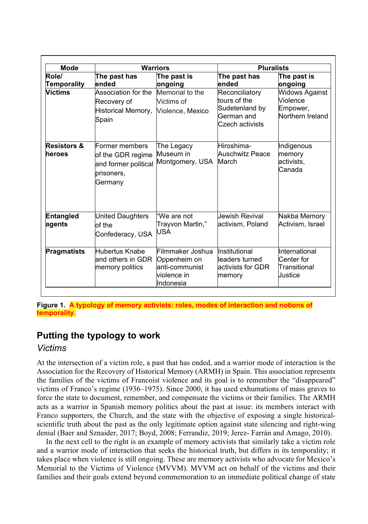| <b>Mode</b>                      | <b>Warriors</b>                                                                      |                                                                                 | <b>Pluralists</b>                                                                 |                                                                   |
|----------------------------------|--------------------------------------------------------------------------------------|---------------------------------------------------------------------------------|-----------------------------------------------------------------------------------|-------------------------------------------------------------------|
| Role/<br>Temporality             | The past has<br>ended                                                                | The past is<br>ongoing                                                          | The past has<br>ended                                                             | The past is<br>ongoing                                            |
| Victims                          | Association for the<br>Recovery of<br>Historical Memory,<br>Spain                    | Memorial to the<br>Victims of<br>Violence, Mexico                               | Reconciliatory<br>tours of the<br>Sudetenland by<br>German and<br>Czech activists | <b>Widows Against</b><br>Violence<br>Empower,<br>Northern Ireland |
| <b>Resistors &amp;</b><br>heroes | Former members<br>of the GDR regime<br>and former political<br>prisoners,<br>Germany | The Legacy<br>Museum in<br>Montgomery, USA                                      | Hiroshima-<br><b>Auschwitz Peace</b><br>March                                     | Indigenous<br>memory<br>activists,<br>Canada                      |
| <b>Entangled</b><br>agents       | United Daughters<br>of the<br>Confederacy, USA                                       | "We are not<br>Trayvon Martin,"<br><b>USA</b>                                   | Jewish Revival<br>activism, Poland                                                | Nakba Memory<br>Activism, Israel                                  |
| <b>Pragmatists</b>               | Hubertus Knabel<br>and others in GDR<br>memory politics                              | Filmmaker Joshua<br>Oppenheim on<br>anti-communist<br>lviolence in<br>Indonesia | Institutional<br>leaders turned<br>activists for GDR<br>memory                    | International<br>Center for<br>Transitional<br>Justice            |

**Figure 1. A typology of memory activists: roles, modes of interaction and notions of temporality.**

# **Putting the typology to work**

# *Victims*

At the intersection of a victim role, a past that has ended, and a warrior mode of interaction is the Association for the Recovery of Historical Memory (ARMH) in Spain. This association represents the families of the victims of Francoist violence and its goal is to remember the "disappeared" victims of Franco's regime (1936–1975). Since 2000, it has used exhumations of mass graves to force the state to document, remember, and compensate the victims or their families. The ARMH acts as a warrior in Spanish memory politics about the past at issue: its members interact with Franco supporters, the Church, and the state with the objective of exposing a single historicalscientific truth about the past as the only legitimate option against state silencing and right-wing denial (Baer and Sznaider, 2017; Boyd, 2008; Ferrandiz, 2019; Jerez- Farrán and Amago, 2010).

In the next cell to the right is an example of memory activists that similarly take a victim role and a warrior mode of interaction that seeks the historical truth, but differs in its temporality; it takes place when violence is still ongoing. These are memory activists who advocate for Mexico's Memorial to the Victims of Violence (MVVM). MVVM act on behalf of the victims and their families and their goals extend beyond commemoration to an immediate political change of state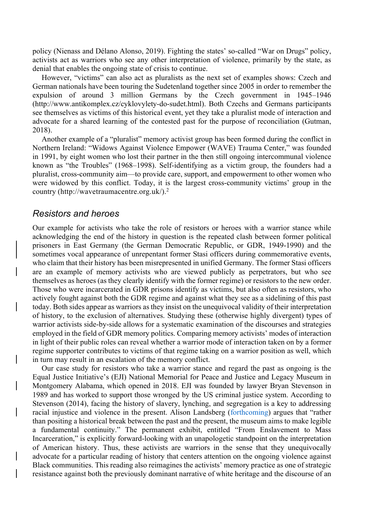policy (Nienass and Délano Alonso, 2019). Fighting the states' so-called "War on Drugs" policy, activists act as warriors who see any other interpretation of violence, primarily by the state, as denial that enables the ongoing state of crisis to continue.

However, "victims" can also act as pluralists as the next set of examples shows: Czech and German nationals have been touring the Sudetenland together since 2005 in order to remember the expulsion of around 3 million Germans by the Czech government in 1945–1946 (http://www.antikomplex.cz/cyklovylety-do-sudet.html). Both Czechs and Germans participants see themselves as victims of this historical event, yet they take a pluralist mode of interaction and advocate for a shared learning of the contested past for the purpose of reconciliation (Gutman, 2018).

Another example of a "pluralist" memory activist group has been formed during the conflict in Northern Ireland: "Widows Against Violence Empower (WAVE) Trauma Center," was founded in 1991, by eight women who lost their partner in the then still ongoing intercommunal violence known as "the Troubles" (1968–1998). Self-identifying as a victim group, the founders had a pluralist, cross-community aim—to provide care, support, and empowerment to other women who were widowed by this conflict. Today, it is the largest cross-community victims' group in the country (http://wavetraumacentre.org.uk/).2

### *Resistors and heroes*

Our example for activists who take the role of resistors or heroes with a warrior stance while acknowledging the end of the history in question is the repeated clash between former political prisoners in East Germany (the German Democratic Republic, or GDR, 1949-1990) and the sometimes vocal appearance of unrepentant former Stasi officers during commemorative events, who claim that their history has been misrepresented in unified Germany. The former Stasi officers are an example of memory activists who are viewed publicly as perpetrators, but who see themselves as heroes (as they clearly identify with the former regime) or resistors to the new order. Those who were incarcerated in GDR prisons identify as victims, but also often as resistors, who actively fought against both the GDR regime and against what they see as a sidelining of this past today. Both sides appear as warriors as they insist on the unequivocal validity of their interpretation of history, to the exclusion of alternatives. Studying these (otherwise highly divergent) types of warrior activists side-by-side allows for a systematic examination of the discourses and strategies employed in the field of GDR memory politics. Comparing memory activists' modes of interaction in light of their public roles can reveal whether a warrior mode of interaction taken on by a former regime supporter contributes to victims of that regime taking on a warrior position as well, which in turn may result in an escalation of the memory conflict.

Our case study for resistors who take a warrior stance and regard the past as ongoing is the Equal Justice Initiative's (EJI) National Memorial for Peace and Justice and Legacy Museum in Montgomery Alabama, which opened in 2018. EJI was founded by lawyer Bryan Stevenson in 1989 and has worked to support those wronged by the US criminal justice system. According to Stevenson (2014), facing the history of slavery, lynching, and segregation is a key to addressing racial injustice and violence in the present. Alison Landsberg (forthcoming) argues that "rather than positing a historical break between the past and the present, the museum aims to make legible a fundamental continuity." The permanent exhibit, entitled "From Enslavement to Mass Incarceration," is explicitly forward-looking with an unapologetic standpoint on the interpretation of American history. Thus, these activists are warriors in the sense that they unequivocally advocate for a particular reading of history that centers attention on the ongoing violence against Black communities. This reading also reimagines the activists' memory practice as one of strategic resistance against both the previously dominant narrative of white heritage and the discourse of an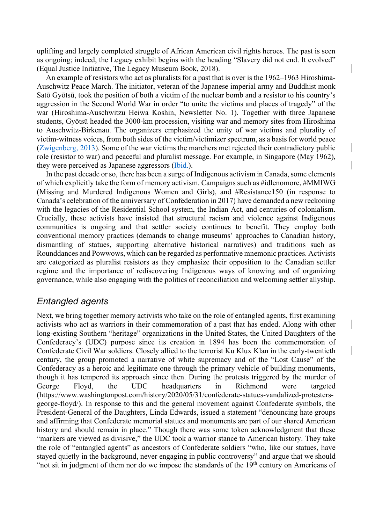uplifting and largely completed struggle of African American civil rights heroes. The past is seen as ongoing; indeed, the Legacy exhibit begins with the heading "Slavery did not end. It evolved" (Equal Justice Initiative, The Legacy Museum Book, 2018)[.](#page-0-0)

An example of resistors who act as pluralists for a past that is over is the 1962–1963 Hiroshima-Auschwitz Peace March. The initiator, veteran of the Japanese imperial army and Buddhist monk Satō Gyōtsū, took the position of both a victim of the nuclear bomb and a resistor to his country's aggression in the Second World War in order "to unite the victims and places of tragedy" of the war (Hiroshima-Auschwitzu Heiwa Koshin, Newsletter No. 1). Together with three Japanese students, Gyōtsū headed the 3000-km procession, visiting war and memory sites from Hiroshima to Auschwitz-Birkenau. The organizers emphasized the unity of war victims and plurality of victim-witness voices, from both sides of the victim/victimizer spectrum, as a basis for world peace (Zwigenberg, 2013). Some of the war victims the marchers met rejected their contradictory public role (resistor to war) and peaceful and pluralist message. For example, in Singapore (May 1962), they were perceived as Japanese aggressors (Ibid.).

In the past decade or so, there has been a surge of Indigenous activism in Canada, some elements of which explicitly take the form of memory activism. Campaigns such as #idlenomore, #MMIWG (Missing and Murdered Indigenous Women and Girls), and #Resistance150 (in response to Canada's celebration of the anniversary of Confederation in 2017) have demanded a new reckoning with the legacies of the Residential School system, the Indian Act, and centuries of colonialism. Crucially, these activists have insisted that structural racism and violence against Indigenous communities is ongoing and that settler society continues to benefit. They employ both conventional memory practices (demands to change museums' approaches to Canadian history, dismantling of statues, supporting alternative historical narratives) and traditions such as Rounddances and Powwows, which can be regarded as performative mnemonic practices. Activists are categorized as pluralist resistors as they emphasize their opposition to the Canadian settler regime and the importance of rediscovering Indigenous ways of knowing and of organizing governance, while also engaging with the politics of reconciliation and welcoming settler allyship.

# *Entangled agents*

Next, we bring together memory activists who take on the role of entangled agents, first examining activists who act as warriors in their commemoration of a past that has ended. Along with other long-existing Southern "heritage" organizations in the United States, the United Daughters of the Confederacy's (UDC) purpose since its creation in 1894 has been the commemoration of Confederate Civil War soldiers. Closely allied to the terrorist Ku Klux Klan in the early-twentieth century, the group promoted a narrative of white supremacy and of the "Lost Cause" of the Confederacy as a heroic and legitimate one through the primary vehicle of building monuments, though it has tempered its approach since then. During the protests triggered by the murder of George Floyd, the UDC headquarters in Richmond were targeted (https://www.washingtonpost.com/history/2020/05/31/confederate-statues-vandalized-protestersgeorge-floyd/). In response to this and the general movement against Confederate symbols, the President-General of the Daughters, Linda Edwards, issued a statement "denouncing hate groups and affirming that Confederate memorial statues and monuments are part of our shared American history and should remain in place." Though there was some token acknowledgment that these "markers are viewed as divisive," the UDC took a warrior stance to American history. They take the role of "entangled agents" as ancestors of Confederate soldiers "who, like our statues, have stayed quietly in the background, never engaging in public controversy" and argue that we should "not sit in judgment of them nor do we impose the standards of the  $19<sup>th</sup>$  century on Americans of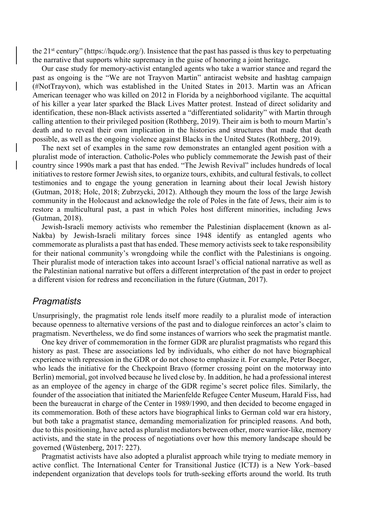the 21<sup>st</sup> century" (https://hqudc.org/). Insistence that the past has passed is thus key to perpetuating the narrative that supports white supremacy in the guise of honoring a joint heritage.

Our case study for memory-activist entangled agents who take a warrior stance and regard the past as ongoing is the "We are not Trayvon Martin" antiracist website and hashtag campaign (#NotTrayvon), which was established in the United States in 2013. Martin was an African American teenager who was killed on 2012 in Florida by a neighborhood vigilante. The acquittal of his killer a year later sparked the Black Lives Matter protest. Instead of direct solidarity and identification, these non-Black activists asserted a "differentiated solidarity" with Martin through calling attention to their privileged position (Rothberg, 2019). Their aim is both to mourn Martin's death and to reveal their own implication in the histories and structures that made that death possible, as well as the ongoing violence against Blacks in the United States (Rothberg, 2019).

The next set of examples in the same row demonstrates an entangled agent position with a pluralist mode of interaction. Catholic-Poles who publicly commemorate the Jewish past of their country since 1990s mark a past that has ended. "The Jewish Revival" includes hundreds of local initiatives to restore former Jewish sites, to organize tours, exhibits, and cultural festivals, to collect testimonies and to engage the young generation in learning about their local Jewish history (Gutman, 2018; Holc, 2018; Zubrzycki, 2012). Although they mourn the loss of the large Jewish community in the Holocaust and acknowledge the role of Poles in the fate of Jews, their aim is to restore a multicultural past, a past in which Poles host different minorities, including Jews (Gutman, 2018).

Jewish-Israeli memory activists who remember the Palestinian displacement (known as al-Nakba) by Jewish-Israeli military forces since 1948 identify as entangled agents who commemorate as pluralists a past that has ended. These memory activists seek to take responsibility for their national community's wrongdoing while the conflict with the Palestinians is ongoing. Their pluralist mode of interaction takes into account Israel's official national narrative as well as the Palestinian national narrative but offers a different interpretation of the past in order to project a different vision for redress and reconciliation in the future (Gutman, 2017).

#### *Pragmatists*

Unsurprisingly, the pragmatist role lends itself more readily to a pluralist mode of interaction because openness to alternative versions of the past and to dialogue reinforces an actor's claim to pragmatism. Nevertheless, we do find some instances of warriors who seek the pragmatist mantle.

One key driver of commemoration in the former GDR are pluralist pragmatists who regard this history as past. These are associations led by individuals, who either do not have biographical experience with repression in the GDR or do not chose to emphasize it. For example, Peter Boeger, who leads the initiative for the Checkpoint Bravo (former crossing point on the motorway into Berlin) memorial, got involved because he lived close by. In addition, he had a professional interest as an employee of the agency in charge of the GDR regime's secret police files. Similarly, the founder of the association that initiated the Marienfelde Refugee Center Museum, Harald Fiss, had been the bureaucrat in charge of the Center in 1989/1990, and then decided to become engaged in its commemoration. Both of these actors have biographical links to German cold war era history, but both take a pragmatist stance, demanding memorialization for principled reasons. And both, due to this positioning, have acted as pluralist mediators between other, more warrior-like, memory activists, and the state in the process of negotiations over how this memory landscape should be governed (Wüstenberg, 2017: 227).

Pragmatist activists have also adopted a pluralist approach while trying to mediate memory in active conflict. The International Center for Transitional Justice (ICTJ) is a New York–based independent organization that develops tools for truth-seeking efforts around the world. Its truth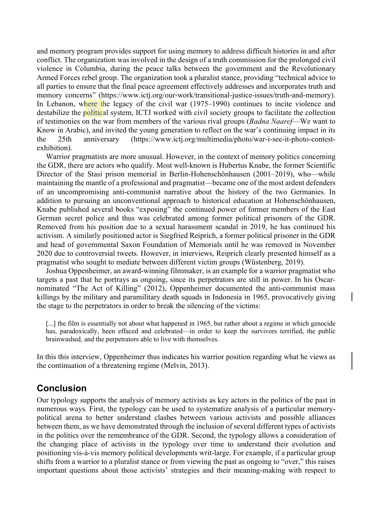and memory program provides support for using memory to address difficult histories in and after conflict. The organization was involved in the design of a truth commission for the prolonged civil violence in Columbia, during the peace talks between the government and the Revolutionary Armed Forces rebel group. The organization took a pluralist stance, providing "technical advice to all parties to ensure that the final peace agreement effectively addresses and incorporates truth and memory concerns" (https://www.ictj.org/our-work/transitional-justice-issues/truth-and-memory). In Lebanon, where the legacy of the civil war (1975–1990) continues to incite violence and destabilize the political system, ICTJ worked with civil society groups to facilitate the collection of testimonies on the war from members of the various rival groups (*Badna Naaref*—We want to Know in Arabic), and invited the young generation to reflect on the war's continuing impact in its the 25th anniversary (https://www.ictj.org/multimedia/photo/war-i-see-it-photo-contestexhibition).

Warrior pragmatists are more unusual. However, in the context of memory politics concerning the GDR, there are actors who qualify. Most well-known is Hubertus Knabe, the former Scientific Director of the Stasi prison memorial in Berlin-Hohenschönhausen (2001–2019), who—while maintaining the mantle of a professional and pragmatist—became one of the most ardent defenders of an uncompromising anti-communist narrative about the history of the two Germanies. In addition to pursuing an unconventional approach to historical education at Hohenschönhausen, Knabe published several books "exposing" the continued power of former members of the East German secret police and thus was celebrated among former political prisoners of the GDR. Removed from his position due to a sexual harassment scandal in 2019, he has continued his activism. A similarly positioned actor is Siegfried Reiprich, a former political prisoner in the GDR and head of governmental Saxon Foundation of Memorials until he was removed in November 2020 due to controversial tweets. However, in interviews, Reiprich clearly presented himself as a pragmatist who sought to mediate between different victim groups (Wüstenberg, 2019).

Joshua Oppenheimer, an award-winning filmmaker, is an example for a warrior pragmatist who targets a past that he portrays as ongoing, since its perpetrators are still in power. In his Oscarnominated "The Act of Killing" (2012), Oppenheimer documented the anti-communist mass killings by the military and paramilitary death squads in Indonesia in 1965, provocatively giving the stage to the perpetrators in order to break the silencing of the victims:

[...] the film is essentially not about what happened in 1965, but rather about a regime in which genocide has, paradoxically, been effaced and celebrated—in order to keep the survivors terrified, the public brainwashed, and the perpetrators able to live with themselves.

In this this interview, Oppenheimer thus indicates his warrior position regarding what he views as the continuation of a threatening regime (Melvin, 2013).

# **Conclusion**

Our typology supports the analysis of memory activists as key actors in the politics of the past in numerous ways. First, the typology can be used to systematize analysis of a particular memorypolitical arena to better understand clashes between various activists and possible alliances between them, as we have demonstrated through the inclusion of several different types of activists in the politics over the remembrance of the GDR. Second, the typology allows a consideration of the changing place of activists in the typology over time to understand their evolution and positioning vis-à-vis memory political developments writ-large. For example, if a particular group shifts from a warrior to a pluralist stance or from viewing the past as ongoing to "over," this raises important questions about those activists' strategies and their meaning-making with respect to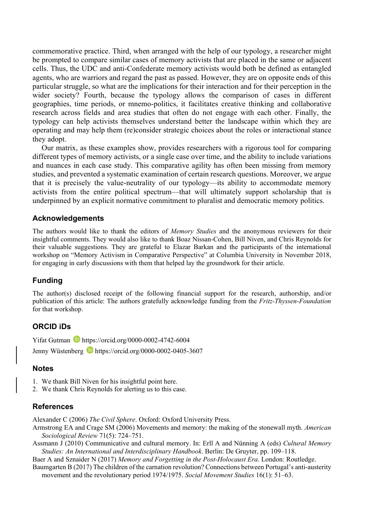commemorative practice. Third, when arranged with the help of our typology, a researcher might be prompted to compare similar cases of memory activists that are placed in the same or adjacent cells. Thus, the UDC and anti-Confederate memory activists would both be defined as entangled agents, who are warriors and regard the past as passed. However, they are on opposite ends of this particular struggle, so what are the implications for their interaction and for their perception in the wider society? Fourth, because the typology allows the comparison of cases in different geographies, time periods, or mnemo-politics, it facilitates creative thinking and collaborative research across fields and area studies that often do not engage with each other. Finally, the typology can help activists themselves understand better the landscape within which they are operating and may help them (re)consider strategic choices about the roles or interactional stance they adopt.

Our matrix, as these examples show, provides researchers with a rigorous tool for comparing different types of memory activists, or a single case over time, and the ability to include variations and nuances in each case study. This comparative agility has often been missing from memory studies, and prevented a systematic examination of certain research questions. Moreover, we argue that it is precisely the value-neutrality of our typology—its ability to accommodate memory activists from the entire political spectrum—that will ultimately support scholarship that is underpinned by an explicit normative commitment to pluralist and democratic memory politics.

#### **Acknowledgements**

The authors would like to thank the editors of *Memory Studies* and the anonymous reviewers for their insightful comments. They would also like to thank Boaz Nissan-Cohen, Bill Niven, and Chris Reynolds for their valuable suggestions. They are grateful to Elazar Barkan and the participants of the international workshop on "Memory Activism in Comparative Perspective" at Columbia University in November 2018, for engaging in early discussions with them that helped lay the groundwork for their article.

#### **Funding**

The author(s) disclosed receipt of the following financial support for the research, authorship, and/or publication of this article: The authors gratefully acknowledge funding from the *Fritz-Thyssen-Foundation* for that workshop.

#### **ORCID iDs**

Yifat Gutman https://orcid.org/0000-0002-4742-6004 Jenny Wüstenberg **b** https://orcid.org/0000-0002-0405-3607

#### **Notes**

- 1. We thank Bill Niven for his insightful point here.
- 2. We thank Chris Reynolds for alerting us to this case.

#### **References**

Alexander C (2006) *The Civil Sphere*. Oxford: Oxford University Press.

- Armstrong EA and Crage SM (2006) Movements and memory: the making of the stonewall myth. *American Sociological Review* 71(5): 724–751.
- Assmann J (2010) Communicative and cultural memory. In: Erll A and Nünning A (eds) *Cultural Memory Studies: An International and Interdisciplinary Handbook*. Berlin: De Gruyter, pp. 109–118.

Baer A and Sznaider N (2017) *Memory and Forgetting in the Post-Holocaust Era*. London: Routledge.

Baumgarten B (2017) The children of the carnation revolution? Connections between Portugal's anti-austerity movement and the revolutionary period 1974/1975. *Social Movement Studies* 16(1): 51–63.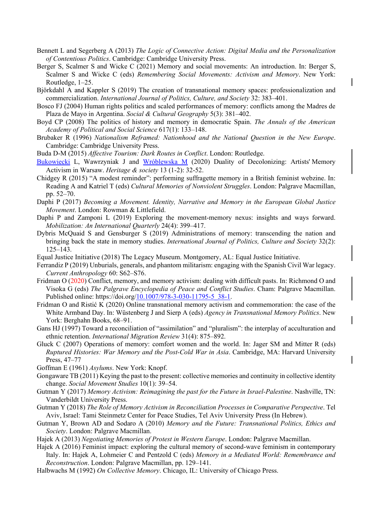- Bennett L and Segerberg A (2013) *The Logic of Connective Action: Digital Media and the Personalization of Contentious Politics*. Cambridge: Cambridge University Press.
- Berger S, Scalmer S and Wicke C (2021) Memory and social movements: An introduction. In: Berger S, Scalmer S and Wicke C (eds) *Remembering Social Movements: Activism and Memory*. New York: Routledge, 1–25.
- Björkdahl A and Kappler S (2019) The creation of transnational memory spaces: professionalization and commercialization. *International Journal of Politics, Culture, and Society* 32: 383–401.
- Bosco FJ (2004) Human rights politics and scaled performances of memory: conflicts among the Madres de Plaza de Mayo in Argentina. *Social & Cultural Geography* 5(3): 381–402.
- Boyd CP (2008) The politics of history and memory in democratic Spain. *The Annals of the American Academy of Political and Social Science* 617(1): 133–148.
- Brubaker R (1996) *Nationalism Reframed: Nationhood and the National Question in the New Europe*. Cambridge: Cambridge University Press.
- Buda D-M (2015) *Affective Tourism: Dark Routes in Conflict*. London: Routledge.
- [Bukowiecki](file://discovery/search?query=creator%2Cexact%2CBukowiecki%2C%20%C5%81ukasz%20%2CAND&tab=Everything&search_scope=MyInst_and_CI&vid=972BGU_INST%3A972BGU&facet=creator%2Cexact%2CBukowiecki%2C%20%C5%81ukasz%20&lang=he&mode=advanced&offset=0) L, Wawrzyniak J and [Wróblewska M](file://discovery/search?query=creator%2Cexact%2C%20Wr%C3%B3blewska%2C%20Magdalena%2CAND&tab=Everything&search_scope=MyInst_and_CI&vid=972BGU_INST%3A972BGU&facet=creator%2Cexact%2C%20Wr%C3%B3blewska%2C%20Magdalena&lang=he&mode=advanced&offset=0) (2020) Duality of Decolonizing: Artists' Memory Activism in Warsaw. *Heritage & society* 13 (1-2): 32-52.
- Chidgey R (2015) "A modest reminder": performing suffragette memory in a British feminist webzine. In: Reading A and Katriel T (eds) *Cultural Memories of Nonviolent Struggles*. London: Palgrave Macmillan, pp. 52–70.
- Daphi P (2017) *Becoming a Movement. Identity, Narrative and Memory in the European Global Justice Movement*. London: Rowman & Littlefield.
- Daphi P and Zamponi L (2019) Exploring the movement-memory nexus: insights and ways forward. *Mobilization: An International Quarterly* 24(4): 399–417.
- Dybris McQuaid S and Gensburger S (2019) Administrations of memory: transcending the nation and bringing back the state in memory studies. *International Journal of Politics, Culture and Society* 32(2): 125–143.
- Equal Justice Initiative (2018) The Legacy Museum. Montgomery, AL: Equal Justice Initiative.
- Ferrandiz P (2019) Unburials, generals, and phantom militarism: engaging with the Spanish Civil War legacy. *Current Anthropology* 60: S62–S76.
- Fridman O (2020) Conflict, memory, and memory activism: dealing with difficult pasts. In: Richmond O and Visoka G (eds) *The Palgrave Encyclopedia of Peace and Conflict Studies*. Cham: Palgrave Macmillan. Published online: https://doi.or[g/10.1007/978-3-030-11795-5\\_38-1.](http://dx.doi.org/10.1007/978-3-030-11795-5_38-1)
- Fridman O and Ristić K (2020) Online transnational memory activism and commemoration: the case of the White Armband Day. In: Wüstenberg J and Sierp A (eds) *Agency in Transnational Memory Politics*. New York: Berghahn Books, 68–91.
- Gans HJ (1997) Toward a reconciliation of "assimilation" and "pluralism": the interplay of acculturation and ethnic retention. *International Migration Review* 31(4): 875–892.
- Gluck C (2007) Operations of memory: comfort women and the world. In: Jager SM and Mitter R (eds) *Ruptured Histories: War Memory and the Post-Cold War in Asia*. Cambridge, MA: Harvard University Press, 47–77
- Goffman E (1961) *Asylums*. New York: Knopf.
- Gongaware TB (2011) Keying the past to the present: collective memories and continuity in collective identity change. *Social Movement Studies* 10(1): 39–54.
- Gutman Y (2017) *Memory Activism: Reimagining the past for the Future in Israel-Palestine*. Nashville, TN: Vanderbildt University Press.
- Gutman Y (2018) *The Role of Memory Activism in Reconciliation Processes in Comparative Perspective*. Tel Aviv, Israel: Tami Steinmetz Center for Peace Studies, Tel Aviv University Press (In Hebrew).
- Gutman Y, Brown AD and Sodaro A (2010) *Memory and the Future: Transnational Politics, Ethics and Society*. London: Palgrave Macmillan.
- Hajek A (2013) *Negotiating Memories of Protest in Western Europe*. London: Palgrave Macmillan.
- Hajek A (2016) Feminist impact: exploring the cultural memory of second-wave feminism in contemporary Italy. In: Hajek A, Lohmeier C and Pentzold C (eds) *Memory in a Mediated World: Remembrance and Reconstruction*. London: Palgrave Macmillan, pp. 129–141.
- Halbwachs M (1992) *On Collective Memory*. Chicago, IL: University of Chicago Press.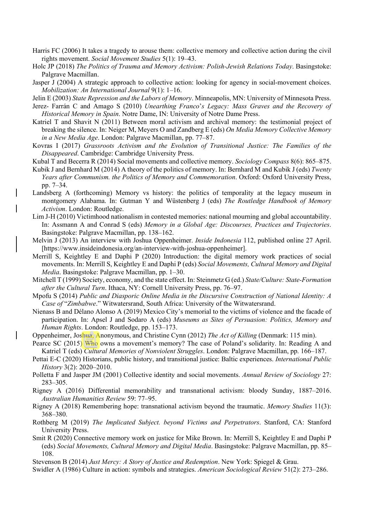- Harris FC (2006) It takes a tragedy to arouse them: collective memory and collective action during the civil rights movement. *Social Movement Studies* 5(1): 19–43.
- Holc JP (2018) *The Politics of Trauma and Memory Activism: Polish-Jewish Relations Today*. Basingstoke: Palgrave Macmillan.
- Jasper J (2004) A strategic approach to collective action: looking for agency in social-movement choices. *Mobilization: An International Journal* 9(1): 1–16.
- Jelin E (2003) *State Repression and the Labors of Memory*. Minneapolis, MN: University of Minnesota Press.
- Jerez- Farrán C and Amago S (2010) *Unearthing Franco*'*s Legacy: Mass Graves and the Recovery of Historical Memory in Spain*. Notre Dame, IN: University of Notre Dame Press.
- Katriel T and Shavit N (2011) Between moral activism and archival memory: the testimonial project of breaking the silence. In: Neiger M, Meyers O and Zandberg E (eds) *On Media Memory Collective Memory in a New Media Age*. London: Palgrave Macmillan, pp. 77–87.
- Kovras I (2017) *Grassroots Activism and the Evolution of Transitional Justice: The Families of the Disappeared*. Cambridge: Cambridge University Press.
- Kubal T and Becerra R (2014) Social movements and collective memory. *Sociology Compass* 8(6): 865–875.
- Kubik J and Bernhard M (2014) A theory of the politics of memory. In: Bernhard M and Kubik J (eds) *Twenty Years after Communism. the Politics of Memory and Commemoration*. Oxford: Oxford University Press, pp. 7–34.
- Landsberg A (forthcoming) Memory vs history: the politics of temporality at the legacy museum in montgomery Alabama. In: Gutman Y and Wüstenberg J (eds) *The Routledge Handbook of Memory Activism*. London: Routledge.
- Lim J-H (2010) Victimhood nationalism in contested memories: national mourning and global accountability. In: Assmann A and Conrad S (eds) *Memory in a Global Age: Discourses, Practices and Trajectories*. Basingstoke: Palgrave Macmillan, pp. 138–162.
- Melvin J (2013) An interview with Joshua Oppenheimer. *Inside Indonesia* 112, published online 27 April. [https://www.insideindonesia.org/an-interview-with-joshua-oppenheimer].
- Merrill S, Keightley E and Daphi P (2020) Introduction: the digital memory work practices of social movements. In: Merrill S, Keightley E and Daphi P (eds) *Social Movements, Cultural Memory and Digital Media*. Basingstoke: Palgrave Macmillan, pp. 1–30.
- Mitchell T (1999) Society, economy, and the state effect. In: Steinmetz G (ed.) *State/Culture: State-Formation after the Cultural Turn*. Ithaca, NY: Cornell University Press, pp. 76–97.
- Mpofu S (2014) *Public and Diasporic Online Media in the Discursive Construction of National Identity: A Case of* "*Zimbabwe*." Witwatersrand, South Africa: University of the Witwatersrand.
- Nienass B and Délano Alonso A (2019) Mexico City's memorial to the victims of violence and the facade of participation. In: Apsel J and Sodaro A (eds) *Museums as Sites of Persuasion: Politics, Memory and Human Rights*. London: Routledge, pp. 153–173.
- Oppenheimer, Joshua, Anonymous, and Christine Cynn (2012) *The Act of Killing* (Denmark: 115 min).
- Pearce SC (2015) Who owns a movement's memory? The case of Poland's solidarity. In: Reading A and Katriel T (eds) *Cultural Memories of Nonviolent Struggles*. London: Palgrave Macmillan, pp. 166–187.
- Pettai E-C (2020) Historians, public history, and transitional justice: Baltic experiences. *International Public History* 3(2): 2020–2010.
- Polletta F and Jasper JM (2001) Collective identity and social movements. *Annual Review of Sociology* 27: 283–305.
- Rigney A (2016) Differential memorability and transnational activism: bloody Sunday, 1887–2016. *Australian Humanities Review* 59: 77–95.
- Rigney A (2018) Remembering hope: transnational activism beyond the traumatic. *Memory Studies* 11(3): 368–380.
- Rothberg M (2019) *The Implicated Subject. beyond Victims and Perpetrators*. Stanford, CA: Stanford University Press.
- Smit R (2020) Connective memory work on justice for Mike Brown. In: Merrill S, Keightley E and Daphi P (eds) *Social Movements, Cultural Memory and Digital Media*. Basingstoke: Palgrave Macmillan, pp. 85– 108.
- Stevenson B (2014) *Just Mercy: A Story of Justice and Redemption*. New York: Spiegel & Grau.
- Swidler A (1986) Culture in action: symbols and strategies. *American Sociological Review* 51(2): 273–286.